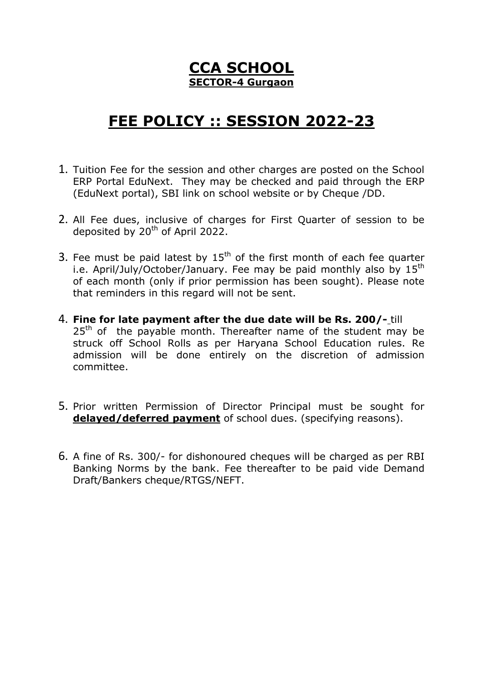# **CCA SCHOOL SECTOR-4 Gurgaon**

# **FEE POLICY :: SESSION 2022-23**

- 1. Tuition Fee for the session and other charges are posted on the School ERP Portal EduNext. They may be checked and paid through the ERP (EduNext portal), SBI link on school website or by Cheque /DD.
- 2. All Fee dues, inclusive of charges for First Quarter of session to be deposited by 20<sup>th</sup> of April 2022.
- 3. Fee must be paid latest by  $15<sup>th</sup>$  of the first month of each fee quarter i.e. April/July/October/January. Fee may be paid monthly also by 15<sup>th</sup> of each month (only if prior permission has been sought). Please note that reminders in this regard will not be sent.
- 4. **Fine for late payment after the due date will be Rs. 200/-** till  $25<sup>th</sup>$  of the payable month. Thereafter name of the student may be struck off School Rolls as per Haryana School Education rules. Re admission will be done entirely on the discretion of admission committee.
- 5. Prior written Permission of Director Principal must be sought for **delayed/deferred payment** of school dues. (specifying reasons).
- 6. A fine of Rs. 300/- for dishonoured cheques will be charged as per RBI Banking Norms by the bank. Fee thereafter to be paid vide Demand Draft/Bankers cheque/RTGS/NEFT.